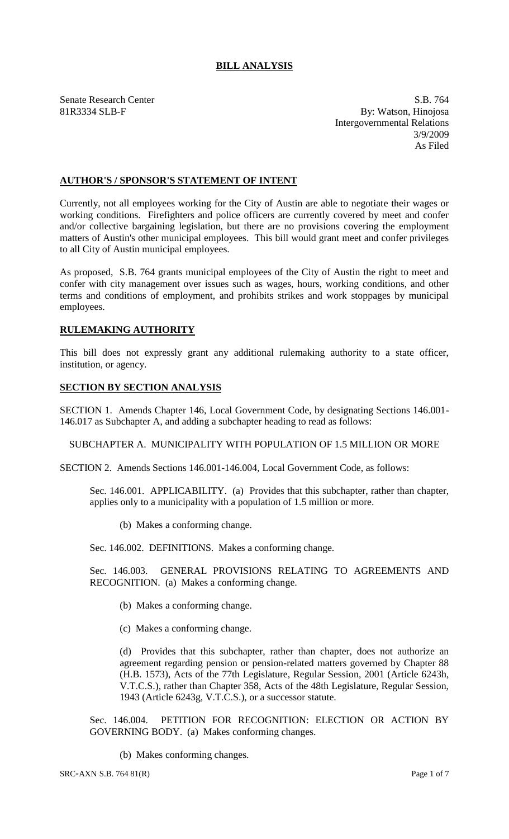# **BILL ANALYSIS**

Senate Research Center S.B. 764 81R3334 SLB-F By: Watson, Hinojosa Intergovernmental Relations 3/9/2009 As Filed

## **AUTHOR'S / SPONSOR'S STATEMENT OF INTENT**

Currently, not all employees working for the City of Austin are able to negotiate their wages or working conditions. Firefighters and police officers are currently covered by meet and confer and/or collective bargaining legislation, but there are no provisions covering the employment matters of Austin's other municipal employees. This bill would grant meet and confer privileges to all City of Austin municipal employees.

As proposed, S.B. 764 grants municipal employees of the City of Austin the right to meet and confer with city management over issues such as wages, hours, working conditions, and other terms and conditions of employment, and prohibits strikes and work stoppages by municipal employees.

### **RULEMAKING AUTHORITY**

This bill does not expressly grant any additional rulemaking authority to a state officer, institution, or agency.

### **SECTION BY SECTION ANALYSIS**

SECTION 1. Amends Chapter 146, Local Government Code, by designating Sections 146.001- 146.017 as Subchapter A, and adding a subchapter heading to read as follows:

SUBCHAPTER A. MUNICIPALITY WITH POPULATION OF 1.5 MILLION OR MORE

SECTION 2. Amends Sections 146.001-146.004, Local Government Code, as follows:

Sec. 146.001. APPLICABILITY. (a) Provides that this subchapter, rather than chapter, applies only to a municipality with a population of 1.5 million or more.

(b) Makes a conforming change.

Sec. 146.002. DEFINITIONS. Makes a conforming change.

Sec. 146.003. GENERAL PROVISIONS RELATING TO AGREEMENTS AND RECOGNITION. (a) Makes a conforming change.

(b) Makes a conforming change.

(c) Makes a conforming change.

(d) Provides that this subchapter, rather than chapter, does not authorize an agreement regarding pension or pension-related matters governed by Chapter 88 (H.B. 1573), Acts of the 77th Legislature, Regular Session, 2001 (Article 6243h, V.T.C.S.), rather than Chapter 358, Acts of the 48th Legislature, Regular Session, 1943 (Article 6243g, V.T.C.S.), or a successor statute.

Sec. 146.004. PETITION FOR RECOGNITION: ELECTION OR ACTION BY GOVERNING BODY. (a) Makes conforming changes.

(b) Makes conforming changes.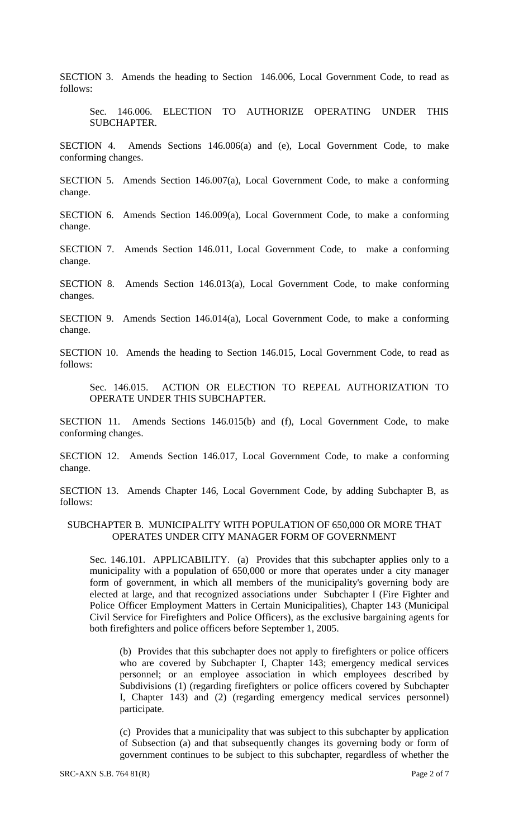SECTION 3. Amends the heading to Section 146.006, Local Government Code, to read as follows:

Sec. 146.006. ELECTION TO AUTHORIZE OPERATING UNDER THIS SUBCHAPTER.

SECTION 4. Amends Sections 146.006(a) and (e), Local Government Code, to make conforming changes.

SECTION 5. Amends Section 146.007(a), Local Government Code, to make a conforming change.

SECTION 6. Amends Section 146.009(a), Local Government Code, to make a conforming change.

SECTION 7. Amends Section 146.011, Local Government Code, to make a conforming change.

SECTION 8. Amends Section 146.013(a), Local Government Code, to make conforming changes.

SECTION 9. Amends Section 146.014(a), Local Government Code, to make a conforming change.

SECTION 10. Amends the heading to Section 146.015, Local Government Code, to read as follows:

Sec. 146.015. ACTION OR ELECTION TO REPEAL AUTHORIZATION TO OPERATE UNDER THIS SUBCHAPTER.

SECTION 11. Amends Sections 146.015(b) and (f), Local Government Code, to make conforming changes.

SECTION 12. Amends Section 146.017, Local Government Code, to make a conforming change.

SECTION 13. Amends Chapter 146, Local Government Code, by adding Subchapter B, as follows:

#### SUBCHAPTER B. MUNICIPALITY WITH POPULATION OF 650,000 OR MORE THAT OPERATES UNDER CITY MANAGER FORM OF GOVERNMENT

Sec. 146.101. APPLICABILITY. (a) Provides that this subchapter applies only to a municipality with a population of 650,000 or more that operates under a city manager form of government, in which all members of the municipality's governing body are elected at large, and that recognized associations under Subchapter I (Fire Fighter and Police Officer Employment Matters in Certain Municipalities), Chapter 143 (Municipal Civil Service for Firefighters and Police Officers), as the exclusive bargaining agents for both firefighters and police officers before September 1, 2005.

(b) Provides that this subchapter does not apply to firefighters or police officers who are covered by Subchapter I, Chapter 143; emergency medical services personnel; or an employee association in which employees described by Subdivisions (1) (regarding firefighters or police officers covered by Subchapter I, Chapter 143) and (2) (regarding emergency medical services personnel) participate.

(c) Provides that a municipality that was subject to this subchapter by application of Subsection (a) and that subsequently changes its governing body or form of government continues to be subject to this subchapter, regardless of whether the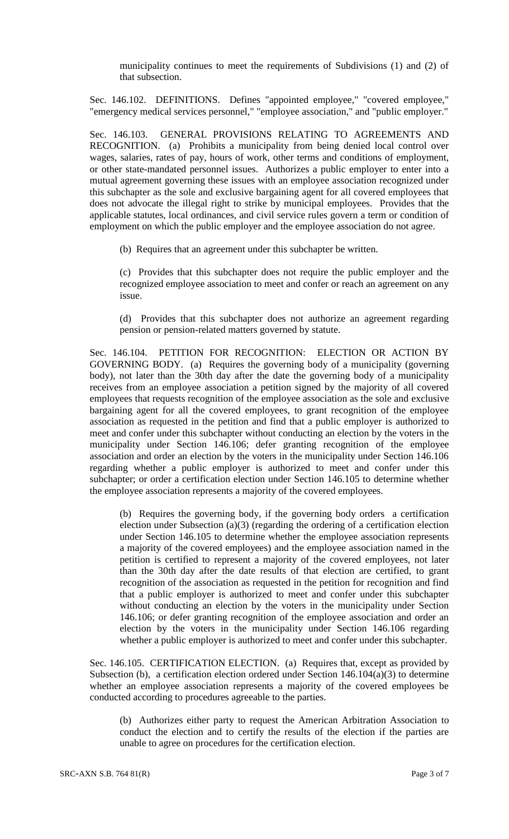municipality continues to meet the requirements of Subdivisions (1) and (2) of that subsection.

Sec. 146.102. DEFINITIONS. Defines "appointed employee," "covered employee," "emergency medical services personnel," "employee association," and "public employer."

Sec. 146.103. GENERAL PROVISIONS RELATING TO AGREEMENTS AND RECOGNITION. (a) Prohibits a municipality from being denied local control over wages, salaries, rates of pay, hours of work, other terms and conditions of employment, or other state-mandated personnel issues. Authorizes a public employer to enter into a mutual agreement governing these issues with an employee association recognized under this subchapter as the sole and exclusive bargaining agent for all covered employees that does not advocate the illegal right to strike by municipal employees. Provides that the applicable statutes, local ordinances, and civil service rules govern a term or condition of employment on which the public employer and the employee association do not agree.

(b) Requires that an agreement under this subchapter be written.

(c) Provides that this subchapter does not require the public employer and the recognized employee association to meet and confer or reach an agreement on any issue.

(d) Provides that this subchapter does not authorize an agreement regarding pension or pension-related matters governed by statute.

Sec. 146.104. PETITION FOR RECOGNITION: ELECTION OR ACTION BY GOVERNING BODY. (a) Requires the governing body of a municipality (governing body), not later than the 30th day after the date the governing body of a municipality receives from an employee association a petition signed by the majority of all covered employees that requests recognition of the employee association as the sole and exclusive bargaining agent for all the covered employees, to grant recognition of the employee association as requested in the petition and find that a public employer is authorized to meet and confer under this subchapter without conducting an election by the voters in the municipality under Section 146.106; defer granting recognition of the employee association and order an election by the voters in the municipality under Section 146.106 regarding whether a public employer is authorized to meet and confer under this subchapter; or order a certification election under Section 146.105 to determine whether the employee association represents a majority of the covered employees.

(b) Requires the governing body, if the governing body orders a certification election under Subsection (a)(3) (regarding the ordering of a certification election under Section 146.105 to determine whether the employee association represents a majority of the covered employees) and the employee association named in the petition is certified to represent a majority of the covered employees, not later than the 30th day after the date results of that election are certified, to grant recognition of the association as requested in the petition for recognition and find that a public employer is authorized to meet and confer under this subchapter without conducting an election by the voters in the municipality under Section 146.106; or defer granting recognition of the employee association and order an election by the voters in the municipality under Section 146.106 regarding whether a public employer is authorized to meet and confer under this subchapter.

Sec. 146.105. CERTIFICATION ELECTION. (a) Requires that, except as provided by Subsection (b), a certification election ordered under Section 146.104(a)(3) to determine whether an employee association represents a majority of the covered employees be conducted according to procedures agreeable to the parties.

(b) Authorizes either party to request the American Arbitration Association to conduct the election and to certify the results of the election if the parties are unable to agree on procedures for the certification election.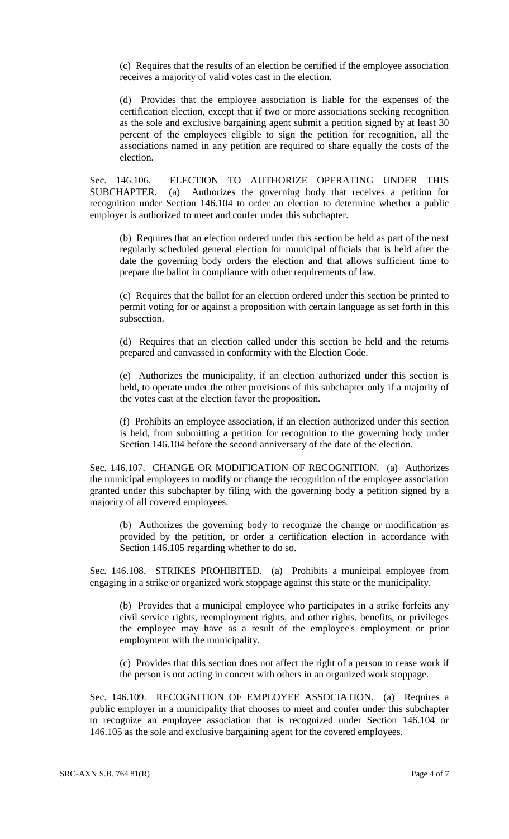(c) Requires that the results of an election be certified if the employee association receives a majority of valid votes cast in the election.

(d) Provides that the employee association is liable for the expenses of the certification election, except that if two or more associations seeking recognition as the sole and exclusive bargaining agent submit a petition signed by at least 30 percent of the employees eligible to sign the petition for recognition, all the associations named in any petition are required to share equally the costs of the election.

Sec. 146.106. ELECTION TO AUTHORIZE OPERATING UNDER THIS SUBCHAPTER. (a) Authorizes the governing body that receives a petition for recognition under Section 146.104 to order an election to determine whether a public employer is authorized to meet and confer under this subchapter.

(b) Requires that an election ordered under this section be held as part of the next regularly scheduled general election for municipal officials that is held after the date the governing body orders the election and that allows sufficient time to prepare the ballot in compliance with other requirements of law.

(c) Requires that the ballot for an election ordered under this section be printed to permit voting for or against a proposition with certain language as set forth in this subsection.

(d) Requires that an election called under this section be held and the returns prepared and canvassed in conformity with the Election Code.

(e) Authorizes the municipality, if an election authorized under this section is held, to operate under the other provisions of this subchapter only if a majority of the votes cast at the election favor the proposition.

(f) Prohibits an employee association, if an election authorized under this section is held, from submitting a petition for recognition to the governing body under Section 146.104 before the second anniversary of the date of the election.

Sec. 146.107. CHANGE OR MODIFICATION OF RECOGNITION. (a) Authorizes the municipal employees to modify or change the recognition of the employee association granted under this subchapter by filing with the governing body a petition signed by a majority of all covered employees.

(b) Authorizes the governing body to recognize the change or modification as provided by the petition, or order a certification election in accordance with Section 146.105 regarding whether to do so.

Sec. 146.108. STRIKES PROHIBITED. (a) Prohibits a municipal employee from engaging in a strike or organized work stoppage against this state or the municipality.

(b) Provides that a municipal employee who participates in a strike forfeits any civil service rights, reemployment rights, and other rights, benefits, or privileges the employee may have as a result of the employee's employment or prior employment with the municipality.

(c) Provides that this section does not affect the right of a person to cease work if the person is not acting in concert with others in an organized work stoppage.

Sec. 146.109. RECOGNITION OF EMPLOYEE ASSOCIATION. (a) Requires a public employer in a municipality that chooses to meet and confer under this subchapter to recognize an employee association that is recognized under Section 146.104 or 146.105 as the sole and exclusive bargaining agent for the covered employees.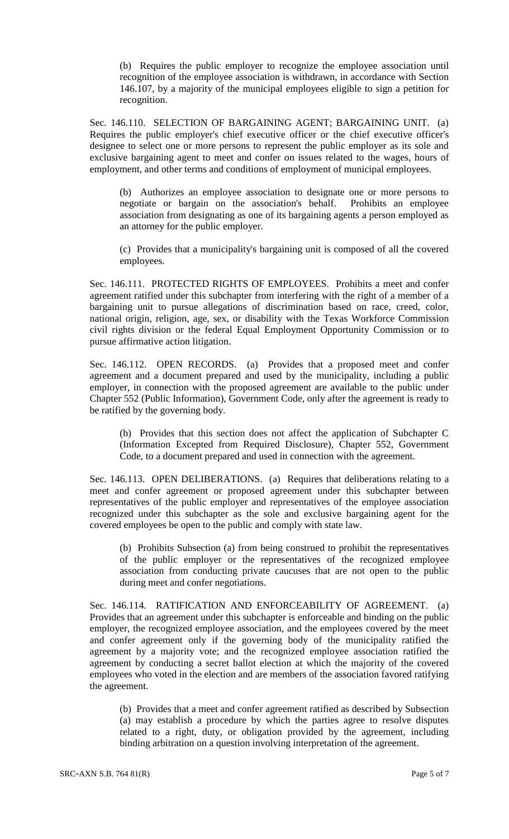(b) Requires the public employer to recognize the employee association until recognition of the employee association is withdrawn, in accordance with Section 146.107, by a majority of the municipal employees eligible to sign a petition for recognition.

Sec. 146.110. SELECTION OF BARGAINING AGENT; BARGAINING UNIT. (a) Requires the public employer's chief executive officer or the chief executive officer's designee to select one or more persons to represent the public employer as its sole and exclusive bargaining agent to meet and confer on issues related to the wages, hours of employment, and other terms and conditions of employment of municipal employees.

(b) Authorizes an employee association to designate one or more persons to negotiate or bargain on the association's behalf. Prohibits an employee association from designating as one of its bargaining agents a person employed as an attorney for the public employer.

(c) Provides that a municipality's bargaining unit is composed of all the covered employees.

Sec. 146.111. PROTECTED RIGHTS OF EMPLOYEES. Prohibits a meet and confer agreement ratified under this subchapter from interfering with the right of a member of a bargaining unit to pursue allegations of discrimination based on race, creed, color, national origin, religion, age, sex, or disability with the Texas Workforce Commission civil rights division or the federal Equal Employment Opportunity Commission or to pursue affirmative action litigation.

Sec. 146.112. OPEN RECORDS. (a) Provides that a proposed meet and confer agreement and a document prepared and used by the municipality, including a public employer, in connection with the proposed agreement are available to the public under Chapter 552 (Public Information), Government Code, only after the agreement is ready to be ratified by the governing body.

(b) Provides that this section does not affect the application of Subchapter C (Information Excepted from Required Disclosure), Chapter 552, Government Code, to a document prepared and used in connection with the agreement.

Sec. 146.113. OPEN DELIBERATIONS. (a) Requires that deliberations relating to a meet and confer agreement or proposed agreement under this subchapter between representatives of the public employer and representatives of the employee association recognized under this subchapter as the sole and exclusive bargaining agent for the covered employees be open to the public and comply with state law.

(b) Prohibits Subsection (a) from being construed to prohibit the representatives of the public employer or the representatives of the recognized employee association from conducting private caucuses that are not open to the public during meet and confer negotiations.

Sec. 146.114. RATIFICATION AND ENFORCEABILITY OF AGREEMENT. (a) Provides that an agreement under this subchapter is enforceable and binding on the public employer, the recognized employee association, and the employees covered by the meet and confer agreement only if the governing body of the municipality ratified the agreement by a majority vote; and the recognized employee association ratified the agreement by conducting a secret ballot election at which the majority of the covered employees who voted in the election and are members of the association favored ratifying the agreement.

(b) Provides that a meet and confer agreement ratified as described by Subsection (a) may establish a procedure by which the parties agree to resolve disputes related to a right, duty, or obligation provided by the agreement, including binding arbitration on a question involving interpretation of the agreement.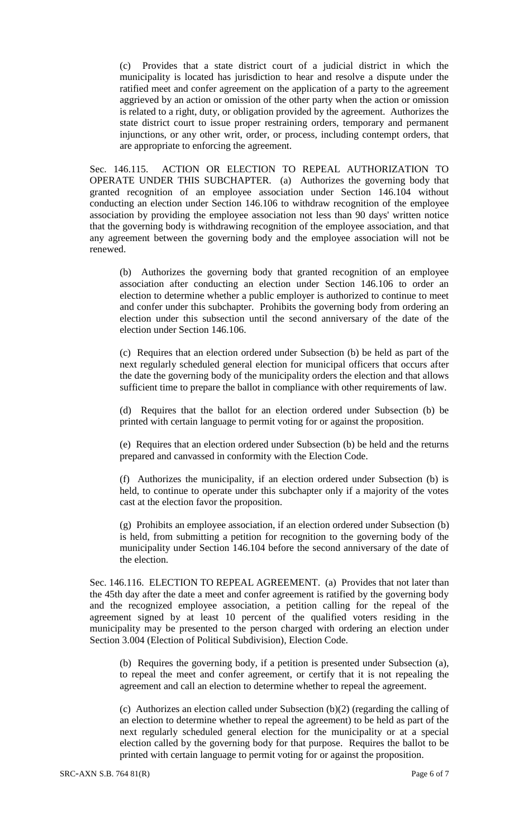(c) Provides that a state district court of a judicial district in which the municipality is located has jurisdiction to hear and resolve a dispute under the ratified meet and confer agreement on the application of a party to the agreement aggrieved by an action or omission of the other party when the action or omission is related to a right, duty, or obligation provided by the agreement. Authorizes the state district court to issue proper restraining orders, temporary and permanent injunctions, or any other writ, order, or process, including contempt orders, that are appropriate to enforcing the agreement.

Sec. 146.115. ACTION OR ELECTION TO REPEAL AUTHORIZATION TO OPERATE UNDER THIS SUBCHAPTER. (a) Authorizes the governing body that granted recognition of an employee association under Section 146.104 without conducting an election under Section 146.106 to withdraw recognition of the employee association by providing the employee association not less than 90 days' written notice that the governing body is withdrawing recognition of the employee association, and that any agreement between the governing body and the employee association will not be renewed.

(b) Authorizes the governing body that granted recognition of an employee association after conducting an election under Section 146.106 to order an election to determine whether a public employer is authorized to continue to meet and confer under this subchapter. Prohibits the governing body from ordering an election under this subsection until the second anniversary of the date of the election under Section 146.106.

(c) Requires that an election ordered under Subsection (b) be held as part of the next regularly scheduled general election for municipal officers that occurs after the date the governing body of the municipality orders the election and that allows sufficient time to prepare the ballot in compliance with other requirements of law.

(d) Requires that the ballot for an election ordered under Subsection (b) be printed with certain language to permit voting for or against the proposition.

(e) Requires that an election ordered under Subsection (b) be held and the returns prepared and canvassed in conformity with the Election Code.

(f) Authorizes the municipality, if an election ordered under Subsection (b) is held, to continue to operate under this subchapter only if a majority of the votes cast at the election favor the proposition.

(g) Prohibits an employee association, if an election ordered under Subsection (b) is held, from submitting a petition for recognition to the governing body of the municipality under Section 146.104 before the second anniversary of the date of the election.

Sec. 146.116. ELECTION TO REPEAL AGREEMENT. (a) Provides that not later than the 45th day after the date a meet and confer agreement is ratified by the governing body and the recognized employee association, a petition calling for the repeal of the agreement signed by at least 10 percent of the qualified voters residing in the municipality may be presented to the person charged with ordering an election under Section 3.004 (Election of Political Subdivision), Election Code.

(b) Requires the governing body, if a petition is presented under Subsection (a), to repeal the meet and confer agreement, or certify that it is not repealing the agreement and call an election to determine whether to repeal the agreement.

(c) Authorizes an election called under Subsection (b)(2) (regarding the calling of an election to determine whether to repeal the agreement) to be held as part of the next regularly scheduled general election for the municipality or at a special election called by the governing body for that purpose. Requires the ballot to be printed with certain language to permit voting for or against the proposition.